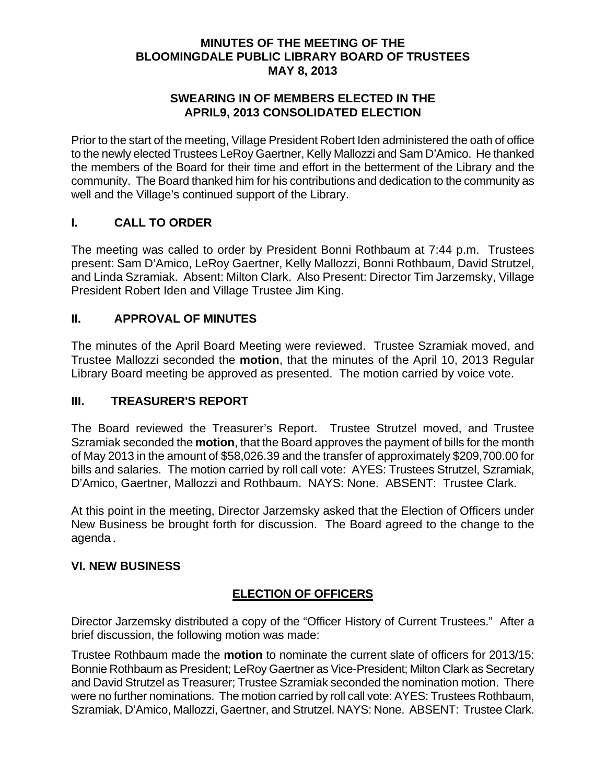### **MINUTES OF THE MEETING OF THE BLOOMINGDALE PUBLIC LIBRARY BOARD OF TRUSTEES MAY 8, 2013**

#### **SWEARING IN OF MEMBERS ELECTED IN THE APRIL9, 2013 CONSOLIDATED ELECTION**

Prior to the start of the meeting, Village President Robert Iden administered the oath of office to the newly elected Trustees LeRoy Gaertner, Kelly Mallozzi and Sam D'Amico. He thanked the members of the Board for their time and effort in the betterment of the Library and the community. The Board thanked him for his contributions and dedication to the community as well and the Village's continued support of the Library.

## **I. CALL TO ORDER**

The meeting was called to order by President Bonni Rothbaum at 7:44 p.m. Trustees present: Sam D'Amico, LeRoy Gaertner, Kelly Mallozzi, Bonni Rothbaum, David Strutzel, and Linda Szramiak. Absent: Milton Clark. Also Present: Director Tim Jarzemsky, Village President Robert Iden and Village Trustee Jim King.

## **II. APPROVAL OF MINUTES**

The minutes of the April Board Meeting were reviewed. Trustee Szramiak moved, and Trustee Mallozzi seconded the **motion**, that the minutes of the April 10, 2013 Regular Library Board meeting be approved as presented. The motion carried by voice vote.

## **III. TREASURER'S REPORT**

The Board reviewed the Treasurer's Report. Trustee Strutzel moved, and Trustee Szramiak seconded the **motion**, that the Board approves the payment of bills for the month of May 2013 in the amount of \$58,026.39 and the transfer of approximately \$209,700.00 for bills and salaries. The motion carried by roll call vote: AYES: Trustees Strutzel, Szramiak, D'Amico, Gaertner, Mallozzi and Rothbaum. NAYS: None. ABSENT: Trustee Clark.

At this point in the meeting, Director Jarzemsky asked that the Election of Officers under New Business be brought forth for discussion. The Board agreed to the change to the agenda.

#### **VI. NEW BUSINESS**

## **ELECTION OF OFFICERS**

Director Jarzemsky distributed a copy of the "Officer History of Current Trustees." After a brief discussion, the following motion was made:

Trustee Rothbaum made the **motion** to nominate the current slate of officers for 2013/15: Bonnie Rothbaum as President; LeRoy Gaertner as Vice-President; Milton Clark as Secretary and David Strutzel as Treasurer; Trustee Szramiak seconded the nomination motion. There were no further nominations. The motion carried by roll call vote: AYES: Trustees Rothbaum, Szramiak, D'Amico, Mallozzi, Gaertner, and Strutzel. NAYS: None. ABSENT: Trustee Clark.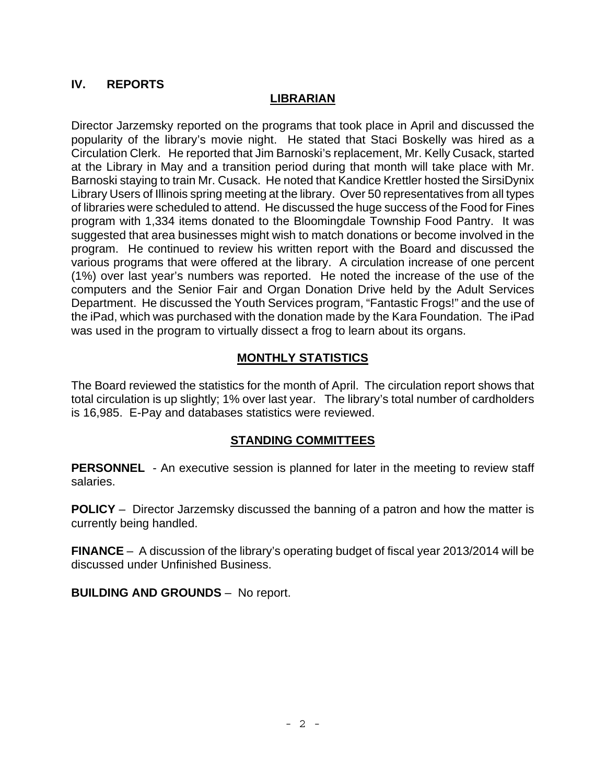# **IV. REPORTS**

## **LIBRARIAN**

Director Jarzemsky reported on the programs that took place in April and discussed the popularity of the library's movie night. He stated that Staci Boskelly was hired as a Circulation Clerk. He reported that Jim Barnoski's replacement, Mr. Kelly Cusack, started at the Library in May and a transition period during that month will take place with Mr. Barnoski staying to train Mr. Cusack. He noted that Kandice Krettler hosted the SirsiDynix Library Users of Illinois spring meeting at the library. Over 50 representatives from all types of libraries were scheduled to attend. He discussed the huge success of the Food for Fines program with 1,334 items donated to the Bloomingdale Township Food Pantry. It was suggested that area businesses might wish to match donations or become involved in the program. He continued to review his written report with the Board and discussed the various programs that were offered at the library. A circulation increase of one percent (1%) over last year's numbers was reported. He noted the increase of the use of the computers and the Senior Fair and Organ Donation Drive held by the Adult Services Department. He discussed the Youth Services program, "Fantastic Frogs!" and the use of the iPad, which was purchased with the donation made by the Kara Foundation. The iPad was used in the program to virtually dissect a frog to learn about its organs.

## **MONTHLY STATISTICS**

The Board reviewed the statistics for the month of April. The circulation report shows that total circulation is up slightly; 1% over last year. The library's total number of cardholders is 16,985. E-Pay and databases statistics were reviewed.

#### **STANDING COMMITTEES**

**PERSONNEL** - An executive session is planned for later in the meeting to review staff salaries.

**POLICY** – Director Jarzemsky discussed the banning of a patron and how the matter is currently being handled.

**FINANCE** – A discussion of the library's operating budget of fiscal year 2013/2014 will be discussed under Unfinished Business.

**BUILDING AND GROUNDS** – No report.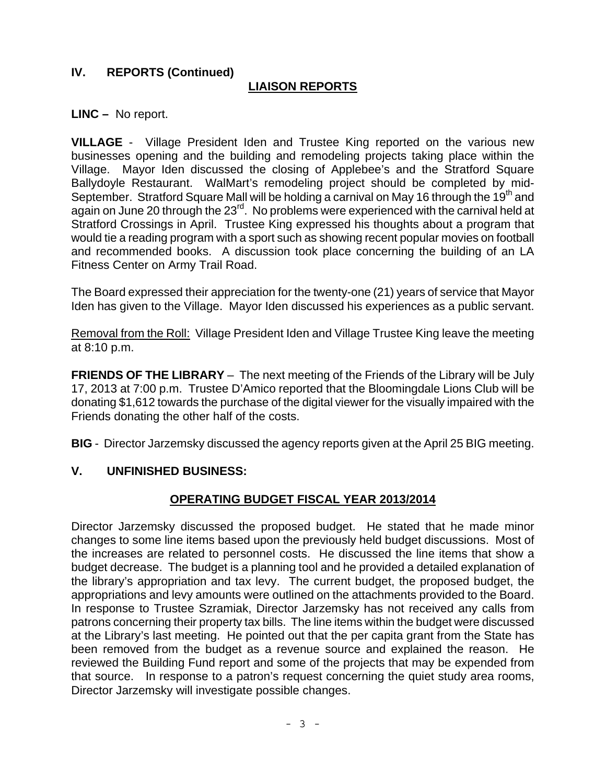## **IV. REPORTS (Continued)**

## **LIAISON REPORTS**

**LINC –** No report.

**VILLAGE** - Village President Iden and Trustee King reported on the various new businesses opening and the building and remodeling projects taking place within the Village. Mayor Iden discussed the closing of Applebee's and the Stratford Square Ballydoyle Restaurant. WalMart's remodeling project should be completed by mid-September. Stratford Square Mall will be holding a carnival on May 16 through the 19<sup>th</sup> and again on June 20 through the 23<sup>rd</sup>. No problems were experienced with the carnival held at Stratford Crossings in April. Trustee King expressed his thoughts about a program that would tie a reading program with a sport such as showing recent popular movies on football and recommended books. A discussion took place concerning the building of an LA Fitness Center on Army Trail Road.

The Board expressed their appreciation for the twenty-one (21) years of service that Mayor Iden has given to the Village. Mayor Iden discussed his experiences as a public servant.

Removal from the Roll: Village President Iden and Village Trustee King leave the meeting at 8:10 p.m.

**FRIENDS OF THE LIBRARY** – The next meeting of the Friends of the Library will be July 17, 2013 at 7:00 p.m. Trustee D'Amico reported that the Bloomingdale Lions Club will be donating \$1,612 towards the purchase of the digital viewer for the visually impaired with the Friends donating the other half of the costs.

**BIG** - Director Jarzemsky discussed the agency reports given at the April 25 BIG meeting.

#### **V. UNFINISHED BUSINESS:**

#### **OPERATING BUDGET FISCAL YEAR 2013/2014**

Director Jarzemsky discussed the proposed budget. He stated that he made minor changes to some line items based upon the previously held budget discussions. Most of the increases are related to personnel costs. He discussed the line items that show a budget decrease. The budget is a planning tool and he provided a detailed explanation of the library's appropriation and tax levy. The current budget, the proposed budget, the appropriations and levy amounts were outlined on the attachments provided to the Board. In response to Trustee Szramiak, Director Jarzemsky has not received any calls from patrons concerning their property tax bills. The line items within the budget were discussed at the Library's last meeting. He pointed out that the per capita grant from the State has been removed from the budget as a revenue source and explained the reason. He reviewed the Building Fund report and some of the projects that may be expended from that source. In response to a patron's request concerning the quiet study area rooms, Director Jarzemsky will investigate possible changes.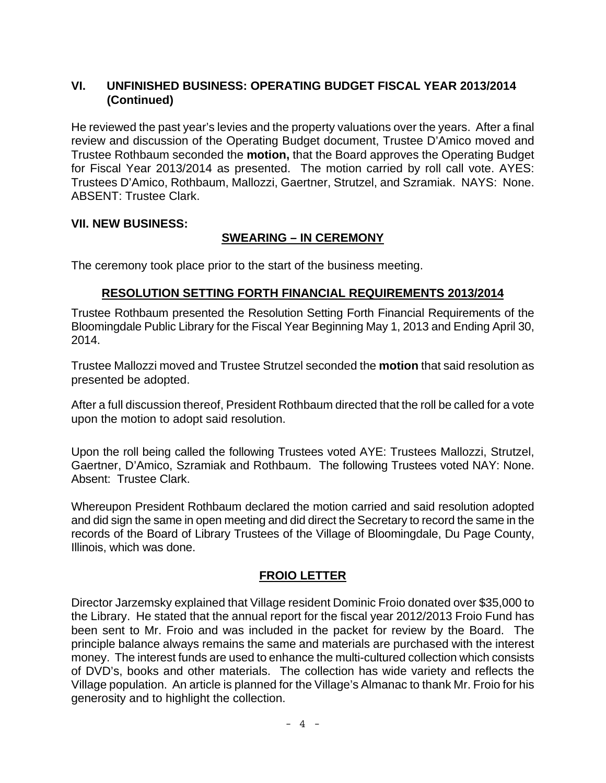# **VI. UNFINISHED BUSINESS: OPERATING BUDGET FISCAL YEAR 2013/2014 (Continued)**

He reviewed the past year's levies and the property valuations over the years. After a final review and discussion of the Operating Budget document, Trustee D'Amico moved and Trustee Rothbaum seconded the **motion,** that the Board approves the Operating Budget for Fiscal Year 2013/2014 as presented. The motion carried by roll call vote. AYES: Trustees D'Amico, Rothbaum, Mallozzi, Gaertner, Strutzel, and Szramiak. NAYS: None. ABSENT: Trustee Clark.

### **VII. NEW BUSINESS:**

# **SWEARING – IN CEREMONY**

The ceremony took place prior to the start of the business meeting.

## **RESOLUTION SETTING FORTH FINANCIAL REQUIREMENTS 2013/2014**

Trustee Rothbaum presented the Resolution Setting Forth Financial Requirements of the Bloomingdale Public Library for the Fiscal Year Beginning May 1, 2013 and Ending April 30, 2014.

Trustee Mallozzi moved and Trustee Strutzel seconded the **motion** that said resolution as presented be adopted.

After a full discussion thereof, President Rothbaum directed that the roll be called for a vote upon the motion to adopt said resolution.

Upon the roll being called the following Trustees voted AYE: Trustees Mallozzi, Strutzel, Gaertner, D'Amico, Szramiak and Rothbaum. The following Trustees voted NAY: None. Absent: Trustee Clark.

Whereupon President Rothbaum declared the motion carried and said resolution adopted and did sign the same in open meeting and did direct the Secretary to record the same in the records of the Board of Library Trustees of the Village of Bloomingdale, Du Page County, Illinois, which was done.

## **FROIO LETTER**

Director Jarzemsky explained that Village resident Dominic Froio donated over \$35,000 to the Library. He stated that the annual report for the fiscal year 2012/2013 Froio Fund has been sent to Mr. Froio and was included in the packet for review by the Board. The principle balance always remains the same and materials are purchased with the interest money. The interest funds are used to enhance the multi-cultured collection which consists of DVD's, books and other materials. The collection has wide variety and reflects the Village population. An article is planned for the Village's Almanac to thank Mr. Froio for his generosity and to highlight the collection.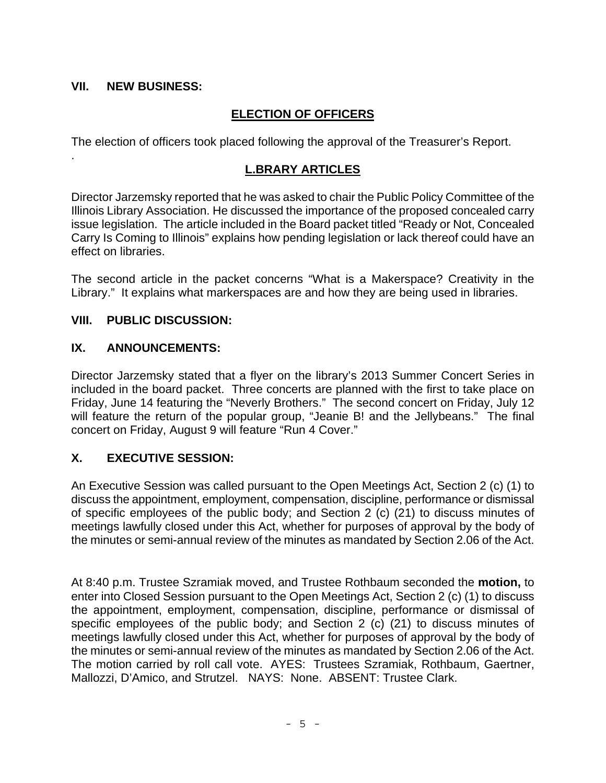## **VII. NEW BUSINESS:**

.

# **ELECTION OF OFFICERS**

The election of officers took placed following the approval of the Treasurer's Report.

## **L.BRARY ARTICLES**

Director Jarzemsky reported that he was asked to chair the Public Policy Committee of the Illinois Library Association. He discussed the importance of the proposed concealed carry issue legislation. The article included in the Board packet titled "Ready or Not, Concealed Carry Is Coming to Illinois" explains how pending legislation or lack thereof could have an effect on libraries.

The second article in the packet concerns "What is a Makerspace? Creativity in the Library." It explains what markerspaces are and how they are being used in libraries.

### **VIII. PUBLIC DISCUSSION:**

### **IX. ANNOUNCEMENTS:**

Director Jarzemsky stated that a flyer on the library's 2013 Summer Concert Series in included in the board packet. Three concerts are planned with the first to take place on Friday, June 14 featuring the "Neverly Brothers." The second concert on Friday, July 12 will feature the return of the popular group, "Jeanie B! and the Jellybeans." The final concert on Friday, August 9 will feature "Run 4 Cover."

## **X. EXECUTIVE SESSION:**

An Executive Session was called pursuant to the Open Meetings Act, Section 2 (c) (1) to discuss the appointment, employment, compensation, discipline, performance or dismissal of specific employees of the public body; and Section 2 (c) (21) to discuss minutes of meetings lawfully closed under this Act, whether for purposes of approval by the body of the minutes or semi-annual review of the minutes as mandated by Section 2.06 of the Act.

At 8:40 p.m. Trustee Szramiak moved, and Trustee Rothbaum seconded the **motion,** to enter into Closed Session pursuant to the Open Meetings Act, Section 2 (c) (1) to discuss the appointment, employment, compensation, discipline, performance or dismissal of specific employees of the public body; and Section 2 (c) (21) to discuss minutes of meetings lawfully closed under this Act, whether for purposes of approval by the body of the minutes or semi-annual review of the minutes as mandated by Section 2.06 of the Act. The motion carried by roll call vote. AYES: Trustees Szramiak, Rothbaum, Gaertner, Mallozzi, D'Amico, and Strutzel. NAYS: None. ABSENT: Trustee Clark.